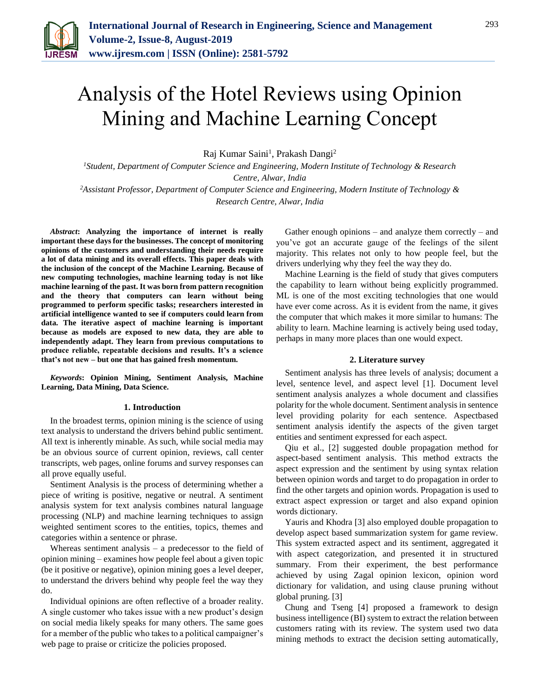

# Analysis of the Hotel Reviews using Opinion Mining and Machine Learning Concept

Raj Kumar Saini<sup>1</sup>, Prakash Dangi<sup>2</sup>

*<sup>1</sup>Student, Department of Computer Science and Engineering, Modern Institute of Technology & Research Centre, Alwar, India <sup>2</sup>Assistant Professor, Department of Computer Science and Engineering, Modern Institute of Technology &* 

*Research Centre, Alwar, India*

*Abstract***: Analyzing the importance of internet is really important these days for the businesses. The concept of monitoring opinions of the customers and understanding their needs require a lot of data mining and its overall effects. This paper deals with the inclusion of the concept of the Machine Learning. Because of new computing technologies, machine learning today is not like machine learning of the past. It was born from pattern recognition and the theory that computers can learn without being programmed to perform specific tasks; researchers interested in artificial intelligence wanted to see if computers could learn from data. The iterative aspect of machine learning is important because as models are exposed to new data, they are able to independently adapt. They learn from previous computations to produce reliable, repeatable decisions and results. It's a science that's not new – but one that has gained fresh momentum.** 

*Keywords***: Opinion Mining, Sentiment Analysis, Machine Learning, Data Mining, Data Science.** 

## **1. Introduction**

In the broadest terms, opinion mining is the science of using text analysis to understand the drivers behind public sentiment. All text is inherently minable. As such, while social media may be an obvious source of current opinion, reviews, call center transcripts, web pages, online forums and survey responses can all prove equally useful.

Sentiment Analysis is the process of determining whether a piece of writing is positive, negative or neutral. A sentiment analysis system for text analysis combines natural language processing (NLP) and machine learning techniques to assign weighted sentiment scores to the entities, topics, themes and categories within a sentence or phrase.

Whereas sentiment analysis – a predecessor to the field of opinion mining – examines how people feel about a given topic (be it positive or negative), opinion mining goes a level deeper, to understand the drivers behind why people feel the way they do.

Individual opinions are often reflective of a broader reality. A single customer who takes issue with a new product's design on social media likely speaks for many others. The same goes for a member of the public who takes to a political campaigner's web page to praise or criticize the policies proposed.

Gather enough opinions – and analyze them correctly – and you've got an accurate gauge of the feelings of the silent majority. This relates not only to how people feel, but the drivers underlying why they feel the way they do.

Machine Learning is the field of study that gives computers the capability to learn without being explicitly programmed. ML is one of the most exciting technologies that one would have ever come across. As it is evident from the name, it gives the computer that which makes it more similar to humans: The ability to learn. Machine learning is actively being used today, perhaps in many more places than one would expect.

#### **2. Literature survey**

Sentiment analysis has three levels of analysis; document a level, sentence level, and aspect level [1]. Document level sentiment analysis analyzes a whole document and classifies polarity for the whole document. Sentiment analysis in sentence level providing polarity for each sentence. Aspectbased sentiment analysis identify the aspects of the given target entities and sentiment expressed for each aspect.

Qiu et al., [2] suggested double propagation method for aspect-based sentiment analysis. This method extracts the aspect expression and the sentiment by using syntax relation between opinion words and target to do propagation in order to find the other targets and opinion words. Propagation is used to extract aspect expression or target and also expand opinion words dictionary.

Yauris and Khodra [3] also employed double propagation to develop aspect based summarization system for game review. This system extracted aspect and its sentiment, aggregated it with aspect categorization, and presented it in structured summary. From their experiment, the best performance achieved by using Zagal opinion lexicon, opinion word dictionary for validation, and using clause pruning without global pruning. [3]

Chung and Tseng [4] proposed a framework to design business intelligence (BI) system to extract the relation between customers rating with its review. The system used two data mining methods to extract the decision setting automatically,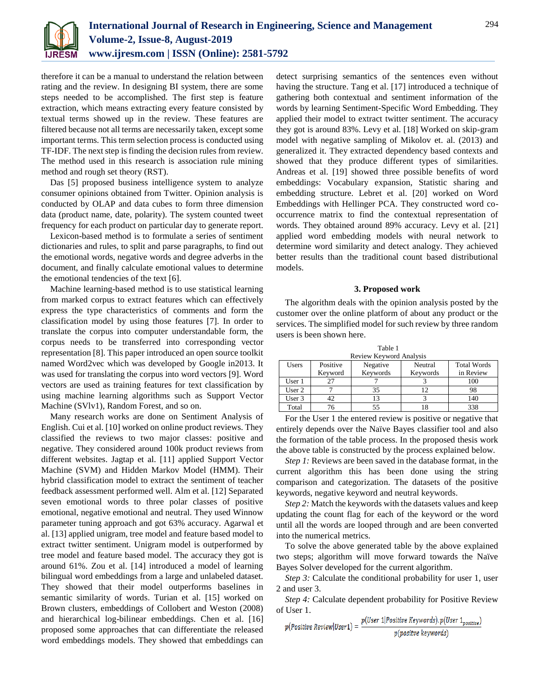

therefore it can be a manual to understand the relation between rating and the review. In designing BI system, there are some steps needed to be accomplished. The first step is feature extraction, which means extracting every feature consisted by textual terms showed up in the review. These features are filtered because not all terms are necessarily taken, except some important terms. This term selection process is conducted using TF-IDF. The next step is finding the decision rules from review. The method used in this research is association rule mining method and rough set theory (RST).

Das [5] proposed business intelligence system to analyze consumer opinions obtained from Twitter. Opinion analysis is conducted by OLAP and data cubes to form three dimension data (product name, date, polarity). The system counted tweet frequency for each product on particular day to generate report.

Lexicon-based method is to formulate a series of sentiment dictionaries and rules, to split and parse paragraphs, to find out the emotional words, negative words and degree adverbs in the document, and finally calculate emotional values to determine the emotional tendencies of the text [6].

Machine learning-based method is to use statistical learning from marked corpus to extract features which can effectively express the type characteristics of comments and form the classification model by using those features [7]. In order to translate the corpus into computer understandable form, the corpus needs to be transferred into corresponding vector representation [8]. This paper introduced an open source toolkit named Word2vec which was developed by Google in2013. It was used for translating the corpus into word vectors [9]. Word vectors are used as training features for text classification by using machine learning algorithms such as Support Vector Machine (SVlv1), Random Forest, and so on.

Many research works are done on Sentiment Analysis of English. Cui et al. [10] worked on online product reviews. They classified the reviews to two major classes: positive and negative. They considered around 100k product reviews from different websites. Jagtap et al. [11] applied Support Vector Machine (SVM) and Hidden Markov Model (HMM). Their hybrid classification model to extract the sentiment of teacher feedback assessment performed well. Alm et al. [12] Separated seven emotional words to three polar classes of positive emotional, negative emotional and neutral. They used Winnow parameter tuning approach and got 63% accuracy. Agarwal et al. [13] applied unigram, tree model and feature based model to extract twitter sentiment. Unigram model is outperformed by tree model and feature based model. The accuracy they got is around 61%. Zou et al. [14] introduced a model of learning bilingual word embeddings from a large and unlabeled dataset. They showed that their model outperforms baselines in semantic similarity of words. Turian et al. [15] worked on Brown clusters, embeddings of Collobert and Weston (2008) and hierarchical log-bilinear embeddings. Chen et al. [16] proposed some approaches that can differentiate the released word embeddings models. They showed that embeddings can

detect surprising semantics of the sentences even without having the structure. Tang et al. [17] introduced a technique of gathering both contextual and sentiment information of the words by learning Sentiment-Specific Word Embedding. They applied their model to extract twitter sentiment. The accuracy they got is around 83%. Levy et al. [18] Worked on skip-gram model with negative sampling of Mikolov et. al. (2013) and generalized it. They extracted dependency based contexts and showed that they produce different types of similarities. Andreas et al. [19] showed three possible benefits of word embeddings: Vocabulary expansion, Statistic sharing and embedding structure. Lebret et al. [20] worked on Word Embeddings with Hellinger PCA. They constructed word cooccurrence matrix to find the contextual representation of words. They obtained around 89% accuracy. Levy et al. [21] applied word embedding models with neural network to determine word similarity and detect analogy. They achieved better results than the traditional count based distributional models.

# **3. Proposed work**

The algorithm deals with the opinion analysis posted by the customer over the online platform of about any product or the services. The simplified model for such review by three random users is been shown here.

Table 1

| Review Keyword Analysis |          |          |          |                    |
|-------------------------|----------|----------|----------|--------------------|
| <b>Users</b>            | Positive | Negative | Neutral  | <b>Total Words</b> |
|                         | Keyword  | Keywords | Keywords | in Review          |
| User 1                  |          |          |          | 100                |
| User 2                  |          | 35       | 12       | 98                 |
| User 3                  | 42       |          |          | 140                |
| Total                   |          |          | 18       | 338                |

For the User 1 the entered review is positive or negative that entirely depends over the Naïve Bayes classifier tool and also the formation of the table process. In the proposed thesis work the above table is constructed by the process explained below.

*Step 1:* Reviews are been saved in the database format, in the current algorithm this has been done using the string comparison and categorization. The datasets of the positive keywords, negative keyword and neutral keywords.

*Step 2:* Match the keywords with the datasets values and keep updating the count flag for each of the keyword or the word until all the words are looped through and are been converted into the numerical metrics.

To solve the above generated table by the above explained two steps; algorithm will move forward towards the Naïve Bayes Solver developed for the current algorithm.

*Step 3:* Calculate the conditional probability for user 1, user 2 and user 3.

*Step 4:* Calculate dependent probability for Positive Review of User 1.

$$
p(Postitive Review|User1) = \frac{p(User 1|Positive Reynolds).p(User 1positive)}{p(postive keywords)}
$$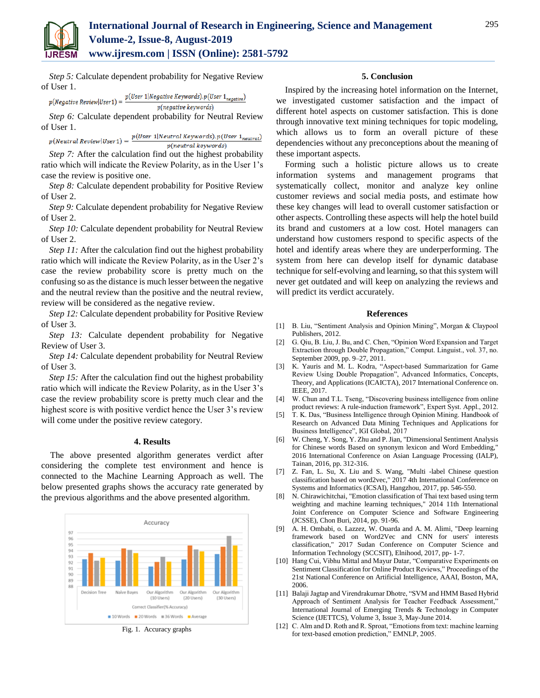

*Step 5:* Calculate dependent probability for Negative Review of User 1.

$$
p(Negative\ Review|User1) = \frac{p(User\ 1|Negative\ Reynolds).p(User\ 1_{negative}}{p(negative\ keywords)}
$$

*Step 6:* Calculate dependent probability for Neutral Review of User 1.

$$
p(Neutral Review|User1) = \frac{p(User 1|NeutralKeywords).p(User 1neutral)}{p(neutral keywords)}
$$

*Step 7:* After the calculation find out the highest probability ratio which will indicate the Review Polarity, as in the User 1's case the review is positive one.

*Step 8:* Calculate dependent probability for Positive Review of User 2.

*Step 9:* Calculate dependent probability for Negative Review of User 2.

*Step 10:* Calculate dependent probability for Neutral Review of User 2.

*Step 11:* After the calculation find out the highest probability ratio which will indicate the Review Polarity, as in the User 2's case the review probability score is pretty much on the confusing so as the distance is much lesser between the negative and the neutral review than the positive and the neutral review, review will be considered as the negative review.

*Step 12:* Calculate dependent probability for Positive Review of User 3.

*Step 13:* Calculate dependent probability for Negative Review of User 3.

*Step 14:* Calculate dependent probability for Neutral Review of User 3.

*Step 15:* After the calculation find out the highest probability ratio which will indicate the Review Polarity, as in the User 3's case the review probability score is pretty much clear and the highest score is with positive verdict hence the User 3's review will come under the positive review category.

## **4. Results**

The above presented algorithm generates verdict after considering the complete test environment and hence is connected to the Machine Learning Approach as well. The below presented graphs shows the accuracy rate generated by the previous algorithms and the above presented algorithm.



Fig. 1. Accuracy graphs

# **5. Conclusion**

Inspired by the increasing hotel information on the Internet, we investigated customer satisfaction and the impact of different hotel aspects on customer satisfaction. This is done through innovative text mining techniques for topic modeling, which allows us to form an overall picture of these dependencies without any preconceptions about the meaning of these important aspects.

Forming such a holistic picture allows us to create information systems and management programs that systematically collect, monitor and analyze key online customer reviews and social media posts, and estimate how these key changes will lead to overall customer satisfaction or other aspects. Controlling these aspects will help the hotel build its brand and customers at a low cost. Hotel managers can understand how customers respond to specific aspects of the hotel and identify areas where they are underperforming. The system from here can develop itself for dynamic database technique for self-evolving and learning, so that this system will never get outdated and will keep on analyzing the reviews and will predict its verdict accurately.

#### **References**

- [1] B. Liu, "Sentiment Analysis and Opinion Mining", Morgan & Claypool Publishers, 2012.
- [2] G. Qiu, B. Liu, J. Bu, and C. Chen, "Opinion Word Expansion and Target Extraction through Double Propagation," Comput. Linguist., vol. 37, no. September 2009, pp. 9–27, 2011.
- [3] K. Yauris and M. L. Kodra, "Aspect-based Summarization for Game Review Using Double Propagation", Advanced Informatics, Concepts, Theory, and Applications (ICAICTA), 2017 International Conference on. IEEE, 2017.
- [4] W. Chun and T.L. Tseng, "Discovering business intelligence from online product reviews: A rule-induction framework", Expert Syst. Appl., 2012.
- [5] T. K. Das, "Business Intelligence through Opinion Mining. Handbook of Research on Advanced Data Mining Techniques and Applications for Business Intelligence", IGI Global, 2017
- [6] W. Cheng, Y. Song, Y. Zhu and P. Jian, "Dimensional Sentiment Analysis for Chinese words Based on synonym lexicon and Word Embedding," 2016 International Conference on Asian Language Processing (IALP), Tainan, 2016, pp. 312-316.
- [7] Z. Fan, L. Su, X. Liu and S. Wang, "Multi -label Chinese question classification based on word2vec," 2017 4th International Conference on Systems and Informatics (ICSAI), Hangzhou, 2017, pp. 546-550.
- [8] N. Chirawichitchai, "Emotion classification of Thai text based using term weighting and machine learning techniques," 2014 11th International Joint Conference on Computer Science and Software Engineering (JCSSE), Chon Buri, 2014, pp. 91-96.
- [9] A. H. Ombabi, o. Lazzez, W. Ouarda and A. M. Alimi, "Deep learning framework based on Word2Vec and CNN for users' interests classification," 2017 Sudan Conference on Computer Science and Information Technology (SCCSIT), Elnihood, 2017, pp- 1-7.
- [10] Hang Cui, Vibhu Mittal and Mayur Datar, "Comparative Experiments on Sentiment Classification for Online Product Reviews," Proceedings of the 21st National Conference on Artificial Intelligence, AAAI, Boston, MA, 2006.
- [11] Balaji Jagtap and Virendrakumar Dhotre, "SVM and HMM Based Hybrid Approach of Sentiment Analysis for Teacher Feedback Assessment," International Journal of Emerging Trends & Technology in Computer Science (IJETTCS), Volume 3, Issue 3, May-June 2014.
- [12] C. Alm and D. Roth and R. Sproat, "Emotions from text: machine learning for text-based emotion prediction," EMNLP, 2005.